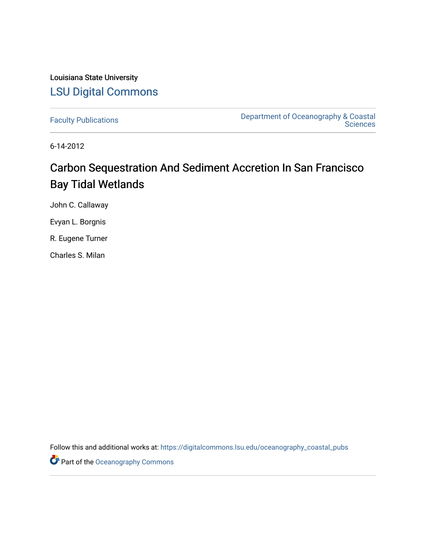Louisiana State University [LSU Digital Commons](https://digitalcommons.lsu.edu/)

[Faculty Publications](https://digitalcommons.lsu.edu/oceanography_coastal_pubs) [Department of Oceanography & Coastal](https://digitalcommons.lsu.edu/oceanography_coastal)  **Sciences** 

6-14-2012

# Carbon Sequestration And Sediment Accretion In San Francisco Bay Tidal Wetlands

John C. Callaway Evyan L. Borgnis R. Eugene Turner Charles S. Milan

Follow this and additional works at: [https://digitalcommons.lsu.edu/oceanography\\_coastal\\_pubs](https://digitalcommons.lsu.edu/oceanography_coastal_pubs?utm_source=digitalcommons.lsu.edu%2Foceanography_coastal_pubs%2F115&utm_medium=PDF&utm_campaign=PDFCoverPages) 

**Part of the Oceanography Commons**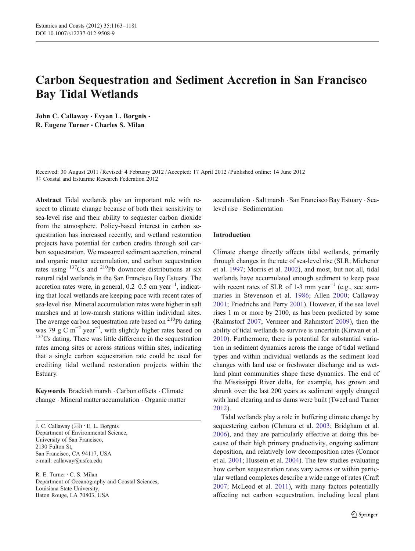## Carbon Sequestration and Sediment Accretion in San Francisco Bay Tidal Wetlands

John C. Callaway · Evyan L. Borgnis · R. Eugene Turner · Charles S. Milan

Received: 30 August 2011 /Revised: 4 February 2012 /Accepted: 17 April 2012 / Published online: 14 June 2012  $\odot$  Coastal and Estuarine Research Federation 2012

Abstract Tidal wetlands play an important role with respect to climate change because of both their sensitivity to sea-level rise and their ability to sequester carbon dioxide from the atmosphere. Policy-based interest in carbon sequestration has increased recently, and wetland restoration projects have potential for carbon credits through soil carbon sequestration. We measured sediment accretion, mineral and organic matter accumulation, and carbon sequestration rates using 137Cs and 210Pb downcore distributions at six natural tidal wetlands in the San Francisco Bay Estuary. The accretion rates were, in general,  $0.2-0.5$  cm year<sup>-1</sup>, indicating that local wetlands are keeping pace with recent rates of sea-level rise. Mineral accumulation rates were higher in salt marshes and at low-marsh stations within individual sites. The average carbon sequestration rate based on  $^{210}Pb$  dating was 79 g C m<sup>-2</sup> year<sup>-1</sup>, with slightly higher rates based on <sup>137</sup>Cs dating. There was little difference in the sequestration rates among sites or across stations within sites, indicating that a single carbon sequestration rate could be used for crediting tidal wetland restoration projects within the Estuary.

Keywords Brackish marsh . Carbon offsets . Climate change . Mineral matter accumulation . Organic matter

J. C. Callaway  $(\boxtimes) \cdot$  E. L. Borgnis Department of Environmental Science, University of San Francisco, 2130 Fulton St, San Francisco, CA 94117, USA e-mail: callaway@usfca.edu

R. E. Turner : C. S. Milan Department of Oceanography and Coastal Sciences, Louisiana State University, Baton Rouge, LA 70803, USA

accumulation . Salt marsh . San Francisco Bay Estuary . Sealevel rise . Sedimentation

#### Introduction

Climate change directly affects tidal wetlands, primarily through changes in the rate of sea-level rise (SLR; Michener et al. [1997](#page-19-0); Morris et al. [2002](#page-19-0)), and most, but not all, tidal wetlands have accumulated enough sediment to keep pace with recent rates of SLR of 1-3 mm year<sup>-1</sup> (e.g., see summaries in Stevenson et al. [1986;](#page-19-0) Allen [2000;](#page-18-0) Callaway [2001](#page-18-0); Friedrichs and Perry [2001\)](#page-18-0). However, if the sea level rises 1 m or more by 2100, as has been predicted by some (Rahmstorf [2007;](#page-19-0) Vermeer and Rahmstorf [2009\)](#page-19-0), then the ability of tidal wetlands to survive is uncertain (Kirwan et al. [2010](#page-19-0)). Furthermore, there is potential for substantial variation in sediment dynamics across the range of tidal wetland types and within individual wetlands as the sediment load changes with land use or freshwater discharge and as wetland plant communities shape these dynamics. The end of the Mississippi River delta, for example, has grown and shrunk over the last 200 years as sediment supply changed with land clearing and as dams were built (Tweel and Turner [2012](#page-19-0)).

Tidal wetlands play a role in buffering climate change by sequestering carbon (Chmura et al. [2003;](#page-18-0) Bridgham et al. [2006](#page-18-0)), and they are particularly effective at doing this because of their high primary productivity, ongoing sediment deposition, and relatively low decomposition rates (Connor et al. [2001;](#page-18-0) Hussein et al. [2004](#page-18-0)). The few studies evaluating how carbon sequestration rates vary across or within particular wetland complexes describe a wide range of rates (Craft [2007](#page-18-0); McLeod et al. [2011](#page-19-0)), with many factors potentially affecting net carbon sequestration, including local plant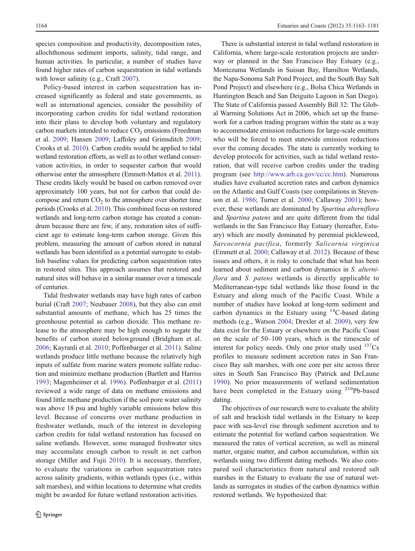species composition and productivity, decomposition rates, allochthonous sediment imports, salinity, tidal range, and human activities. In particular, a number of studies have found higher rates of carbon sequestration in tidal wetlands with lower salinity (e.g., Craft [2007](#page-18-0)).

Policy-based interest in carbon sequestration has increased significantly as federal and state governments, as well as international agencies, consider the possibility of incorporating carbon credits for tidal wetland restoration into their plans to develop both voluntary and regulatory carbon markets intended to reduce  $CO<sub>2</sub>$  emissions (Freedman et al. [2009;](#page-18-0) Hansen [2009;](#page-18-0) Laffoley and Grimsditch [2009](#page-19-0); Crooks et al. [2010](#page-18-0)). Carbon credits would be applied to tidal wetland restoration efforts, as well as to other wetland conservation activities, in order to sequester carbon that would otherwise enter the atmosphere (Emmett-Mattox et al. [2011\)](#page-18-0). These credits likely would be based on carbon removed over approximately 100 years, but not for carbon that could decompose and return  $CO<sub>2</sub>$  to the atmosphere over shorter time periods (Crooks et al. [2010](#page-18-0)). This combined focus on restored wetlands and long-term carbon storage has created a conundrum because there are few, if any, restoration sites of sufficient age to estimate long-term carbon storage. Given this problem, measuring the amount of carbon stored in natural wetlands has been identified as a potential surrogate to establish baseline values for predicting carbon sequestration rates in restored sites. This approach assumes that restored and natural sites will behave in a similar manner over a timescale of centuries.

Tidal freshwater wetlands may have high rates of carbon burial (Craft [2007;](#page-18-0) Neubauer [2008\)](#page-19-0), but they also can emit substantial amounts of methane, which has 25 times the greenhouse potential as carbon dioxide. This methane release to the atmosphere may be high enough to negate the benefits of carbon stored belowground (Bridgham et al. [2006;](#page-18-0) Kayranli et al. [2010](#page-19-0); Poffenbarger et al. [2011](#page-19-0)). Saline wetlands produce little methane because the relatively high inputs of sulfate from marine waters promote sulfate reduction and minimize methane production (Bartlett and Harriss [1993;](#page-18-0) Magenheimer et al. [1996](#page-19-0)). Poffenbarger et al. [\(2011\)](#page-19-0) reviewed a wide range of data on methane emissions and found little methane production if the soil pore water salinity was above 18 psu and highly variable emissions below this level. Because of concerns over methane production in freshwater wetlands, much of the interest in developing carbon credits for tidal wetland restoration has focused on saline wetlands. However, some managed freshwater sites may accumulate enough carbon to result in net carbon storage (Miller and Fujii [2010](#page-19-0)). It is necessary, therefore, to evaluate the variations in carbon sequestration rates across salinity gradients, within wetlands types (i.e., within salt marshes), and within locations to determine what credits might be awarded for future wetland restoration activities.

There is substantial interest in tidal wetland restoration in California, where large-scale restoration projects are underway or planned in the San Francisco Bay Estuary (e.g., Montezuma Wetlands in Suisun Bay, Hamilton Wetlands, the Napa-Sonoma Salt Pond Project, and the South Bay Salt Pond Project) and elsewhere (e.g., Bolsa Chica Wetlands in Huntington Beach and San Deiguito Lagoon in San Diego). The State of California passed Assembly Bill 32: The Global Warming Solutions Act in 2006, which set up the framework for a carbon trading program within the state as a way to accommodate emission reductions for large-scale emitters who will be forced to meet statewide emission reductions over the coming decades. The state is currently working to develop protocols for activities, such as tidal wetland restoration, that will receive carbon credits under the trading program (see [http://www.arb.ca.gov/cc/cc.htm\)](http://www.arb.ca.gov/cc/cc.htm). Numerous studies have evaluated accretion rates and carbon dynamics on the Atlantic and Gulf Coasts (see compilations in Stevenson et al. [1986](#page-19-0); Turner et al. [2000](#page-19-0); Callaway [2001](#page-18-0)); however, these wetlands are dominated by Spartina alterniflora and Spartina patens and are quite different from the tidal wetlands in the San Francisco Bay Estuary (hereafter, Estuary) which are mostly dominated by perennial pickleweed, Sarcocornia pacifica, formerly Salicornia virginica (Emmett et al. [2000](#page-18-0); Callaway et al. [2012](#page-18-0)). Because of these issues and others, it is risky to conclude that what has been learned about sediment and carbon dynamics in S. alterniflora and S. patens wetlands is directly applicable to Mediterranean-type tidal wetlands like those found in the Estuary and along much of the Pacific Coast. While a number of studies have looked at long-term sediment and carbon dynamics in the Estuary using  $^{14}$ C-based dating methods (e.g., Watson [2004](#page-19-0); Drexler et al. [2009](#page-18-0)), very few data exist for the Estuary or elsewhere on the Pacific Coast on the scale of 50–100 years, which is the timescale of interest for policy needs. Only one prior study used  $137Cs$ profiles to measure sediment accretion rates in San Francisco Bay salt marshes, with one core per site across three sites in South San Francisco Bay (Patrick and DeLaune [1990](#page-19-0)). No prior measurements of wetland sedimentation have been completed in the Estuary using <sup>210</sup>Pb-based dating.

The objectives of our research were to evaluate the ability of salt and brackish tidal wetlands in the Estuary to keep pace with sea-level rise through sediment accretion and to estimate the potential for wetland carbon sequestration. We measured the rates of vertical accretion, as well as mineral matter, organic matter, and carbon accumulation, within six wetlands using two different dating methods. We also compared soil characteristics from natural and restored salt marshes in the Estuary to evaluate the use of natural wetlands as surrogates in studies of the carbon dynamics within restored wetlands. We hypothesized that: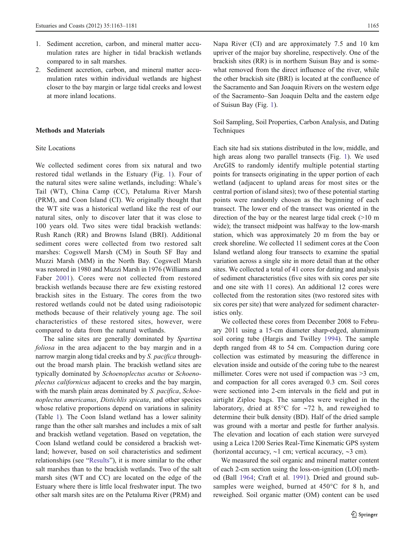- 1. Sediment accretion, carbon, and mineral matter accumulation rates are higher in tidal brackish wetlands compared to in salt marshes.
- 2. Sediment accretion, carbon, and mineral matter accumulation rates within individual wetlands are highest closer to the bay margin or large tidal creeks and lowest at more inland locations.

#### Methods and Materials

#### Site Locations

We collected sediment cores from six natural and two restored tidal wetlands in the Estuary (Fig. [1](#page-4-0)). Four of the natural sites were saline wetlands, including: Whale's Tail (WT), China Camp (CC), Petaluma River Marsh (PRM), and Coon Island (CI). We originally thought that the WT site was a historical wetland like the rest of our natural sites, only to discover later that it was close to 100 years old. Two sites were tidal brackish wetlands: Rush Ranch (RR) and Browns Island (BRI). Additional sediment cores were collected from two restored salt marshes: Cogswell Marsh (CM) in South SF Bay and Muzzi Marsh (MM) in the North Bay. Cogswell Marsh was restored in 1980 and Muzzi Marsh in 1976 (Williams and Faber [2001](#page-19-0)). Cores were not collected from restored brackish wetlands because there are few existing restored brackish sites in the Estuary. The cores from the two restored wetlands could not be dated using radioisotopic methods because of their relatively young age. The soil characteristics of these restored sites, however, were compared to data from the natural wetlands.

The saline sites are generally dominated by Spartina foliosa in the area adjacent to the bay margin and in a narrow margin along tidal creeks and by S. pacifica throughout the broad marsh plain. The brackish wetland sites are typically dominated by Schoenoplectus acutus or Schoenoplectus californicus adjacent to creeks and the bay margin, with the marsh plain areas dominated by S. pacifica, Schoenoplectus americanus, Distichlis spicata, and other species whose relative proportions depend on variations in salinity (Table [1\)](#page-5-0). The Coon Island wetland has a lower salinity range than the other salt marshes and includes a mix of salt and brackish wetland vegetation. Based on vegetation, the Coon Island wetland could be considered a brackish wetland; however, based on soil characteristics and sediment relationships (see "[Results](#page-7-0)"), it is more similar to the other salt marshes than to the brackish wetlands. Two of the salt marsh sites (WT and CC) are located on the edge of the Estuary where there is little local freshwater input. The two other salt marsh sites are on the Petaluma River (PRM) and Napa River (CI) and are approximately 7.5 and 10 km upriver of the major bay shoreline, respectively. One of the brackish sites (RR) is in northern Suisun Bay and is somewhat removed from the direct influence of the river, while the other brackish site (BRI) is located at the confluence of the Sacramento and San Joaquin Rivers on the western edge of the Sacramento–San Joaquin Delta and the eastern edge of Suisun Bay (Fig. [1](#page-4-0)).

Soil Sampling, Soil Properties, Carbon Analysis, and Dating **Techniques** 

Each site had six stations distributed in the low, middle, and high areas along two parallel transects (Fig. [1\)](#page-4-0). We used ArcGIS to randomly identify multiple potential starting points for transects originating in the upper portion of each wetland (adjacent to upland areas for most sites or the central portion of island sites); two of these potential starting points were randomly chosen as the beginning of each transect. The lower end of the transect was oriented in the direction of the bay or the nearest large tidal creek (>10 m wide); the transect midpoint was halfway to the low-marsh station, which was approximately 20 m from the bay or creek shoreline. We collected 11 sediment cores at the Coon Island wetland along four transects to examine the spatial variation across a single site in more detail than at the other sites. We collected a total of 41 cores for dating and analysis of sediment characteristics (five sites with six cores per site and one site with 11 cores). An additional 12 cores were collected from the restoration sites (two restored sites with six cores per site) that were analyzed for sediment characteristics only.

We collected these cores from December 2008 to February 2011 using a 15-cm diameter sharp-edged, aluminum soil coring tube (Hargis and Twilley [1994\)](#page-18-0). The sample depth ranged from 48 to 54 cm. Compaction during core collection was estimated by measuring the difference in elevation inside and outside of the coring tube to the nearest millimeter. Cores were not used if compaction was  $>3$  cm, and compaction for all cores averaged 0.3 cm. Soil cores were sectioned into 2-cm intervals in the field and put in airtight Ziploc bags. The samples were weighed in the laboratory, dried at 85°C for ∼72 h, and reweighed to determine their bulk density (BD). Half of the dried sample was ground with a mortar and pestle for further analysis. The elevation and location of each station were surveyed using a Leica 1200 Series Real-Time Kinematic GPS system (horizontal accuracy, ∼1 cm; vertical accuracy, ∼3 cm).

We measured the soil organic and mineral matter content of each 2-cm section using the loss-on-ignition (LOI) method (Ball [1964;](#page-18-0) Craft et al. [1991\)](#page-18-0). Dried and ground subsamples were weighed, burned at 450°C for 8 h, and reweighed. Soil organic matter (OM) content can be used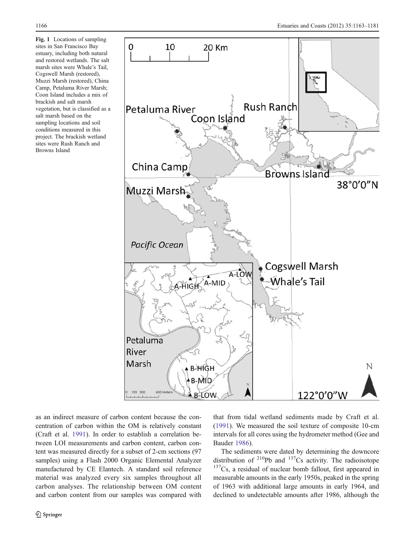<span id="page-4-0"></span>Fig. 1 Locations of sampling sites in San Francisco Bay estuary, including both natural and restored wetlands. The salt marsh sites were Whale's Tail, Cogswell Marsh (restored), Muzzi Marsh (restored), China Camp, Petaluma River Marsh; Coon Island includes a mix of brackish and salt marsh vegetation, but is classified as a salt marsh based on the sampling locations and soil conditions measured in this project. The brackish wetland sites were Rush Ranch and Browns Island



as an indirect measure of carbon content because the concentration of carbon within the OM is relatively constant (Craft et al. [1991](#page-18-0)). In order to establish a correlation between LOI measurements and carbon content, carbon content was measured directly for a subset of 2-cm sections (97 samples) using a Flash 2000 Organic Elemental Analyzer manufactured by CE Elantech. A standard soil reference material was analyzed every six samples throughout all carbon analyses. The relationship between OM content and carbon content from our samples was compared with that from tidal wetland sediments made by Craft et al. [\(1991](#page-18-0)). We measured the soil texture of composite 10-cm intervals for all cores using the hydrometer method (Gee and Bauder [1986\)](#page-18-0).

The sediments were dated by determining the downcore distribution of  $^{210}Pb$  and  $^{137}Cs$  activity. The radioisotope  $137Cs$ , a residual of nuclear bomb fallout, first appeared in measurable amounts in the early 1950s, peaked in the spring of 1963 with additional large amounts in early 1964, and declined to undetectable amounts after 1986, although the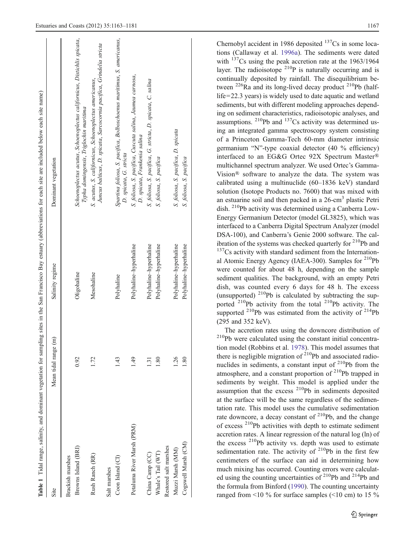<span id="page-5-0"></span>

|                            |                      |                        | Table 1 Tidal range, salinity, and dominant vegetation for sampling sites in the San Francisco Bay estuary (abbreviations for each site are included below each site name) |
|----------------------------|----------------------|------------------------|----------------------------------------------------------------------------------------------------------------------------------------------------------------------------|
| Site                       | Mean tidal range (m) | Salinity regime        | Dominant vegetation                                                                                                                                                        |
| Brackish marshes           |                      |                        |                                                                                                                                                                            |
| Browns Island (BRI)        | 0.92                 | Oligohaline            | Schoenoplectus acutus, Schoenoplectus californicus, Distichlis spicata,<br>Typha domingensis, Triglochin maritima                                                          |
| Rush Ranch (RR)            | 1.72                 | Mesohaline             | Juncus balticus, D. spicata, Sarcocornia pacifica, Grindelia stricta<br>S. acutus, S. californicus, Schoenoplectus americanus,                                             |
| Salt marshes               |                      |                        |                                                                                                                                                                            |
| Coon Island (CI)           | $\ddot{4}$           | Polyhaline             | Spartina foliosa, S. pacifica, Bolboschoenus maritimus, S. americanus,<br>D. spicata, G. stricta                                                                           |
| Petaluma River Marsh (PRM) | $\frac{49}{5}$       | Polyhaline-hyperhaline | S. foliosa, S. pacifica, Cuscuta salina, Jaumea carnosa,<br>D. spicata, Frankenia salina                                                                                   |
| China Camp (CC)            | 5                    | Polyhaline-hyperhaline | S. foliosa, S. pacifica, G. stricta, D. spicata, C. salina                                                                                                                 |
| Whale's Tail (WT)          | $\frac{80}{2}$       | Polyhaline-hyperhaline | S. foliosa, S. pacifica                                                                                                                                                    |
| Restored salt marshes      |                      |                        |                                                                                                                                                                            |
| Muzzi Marsh (MM)           | 1.26                 | Polyhaline-hyperhaline | S. foliosa, S. pacifica, D. spicata                                                                                                                                        |
| Cogswell Marsh (CM)        | $\frac{80}{2}$       | Polyhaline-hyperhaline | S. foliosa, S. pacifica                                                                                                                                                    |
|                            |                      |                        |                                                                                                                                                                            |

Chernobyl accident in 1986 deposited  $137$ Cs in some locations (Callaway et al. [1996a](#page-18-0)). The sediments were dated with  $137$ Cs using the peak accretion rate at the 1963/1964 layer. The radioisotope  $^{210}P$  is naturally occurring and is continually deposited by rainfall. The disequilibrium between  $^{226}$ Ra and its long-lived decay product  $^{210}$ Pb (halflife= $22.3$  years) is widely used to date aquatic and wetland sediments, but with different modeling approaches depending on sediment characteristics, radioisotopic analyses, and assumptions.  $^{210}$ Pb and  $^{137}$ Cs activity was determined using an integrated gamma spectroscopy system consisting of a Princeton Gamma-Tech 60-mm diameter intrinsic germanium "N"-type coaxial detector (40 % efficiency) interfaced to an EG&G Ortec 92X Spectrum Master® multichannel spectrum analyzer. We used Ortec's Gamma-Vision® software to analyze the data. The system was calibrated using a multinuclide (60–1836 keV) standard solution (Isotope Products no. 7600) that was mixed with an estuarine soil and then packed in a 26-cm<sup>3</sup> plastic Petri dish. <sup>210</sup>Pb activity was determined using a Canberra Low-Energy Germanium Detector (model GL3825), which was interfaced to a Canberra Digital Spectrum Analyzer (model DSA-100), and Canberra's Genie 2000 software. The calibration of the systems was checked quarterly for  $210Pb$  and  $137<sub>Cs</sub>$  activity with standard sediment from the International Atomic Energy Agency (IAEA-300). Samples for  $^{210}Pb$ were counted for about 48 h, depending on the sample sediment qualities. The background, with an empty Petri dish, was counted every 6 days for 48 h. The excess (unsupported)  $^{210}Pb$  is calculated by subtracting the supported 210Pb activity from the total 210Pb activity. The supported  $^{210}$ Pb was estimated from the activity of  $^{214}$ Pb (295 and 352 keV). The accretion rates using the downcore distribution of

210Pb were calculated using the constant initial concentration model (Robbins et al. [1978\)](#page-19-0). This model assumes that there is negligible migration of  $^{210}Pb$  and associated radionuclides in sediments, a constant input of  $2^{10}Pb$  from the atmosphere, and a constant proportion of  $^{210}Pb$  trapped in sediments by weight. This model is applied under the assumption that the excess  $^{210}Pb$  in sediments deposited at the surface will be the same regardless of the sedimentation rate. This model uses the cumulative sedimentation rate downcore, a decay constant of <sup>210</sup>Pb, and the change of excess 210Pb activities with depth to estimate sediment accretion rates. A linear regression of the natural log (ln) of the excess  $^{210}Pb$  activity vs. depth was used to estimate sedimentation rate. The activity of  $2^{10}Pb$  in the first few centimeters of the surface can aid in determining how much mixing has occurred. Counting errors were calculated using the counting uncertainties of  $^{210}Pb$  and  $^{214}Pb$  and the formula from Binford ([1990\)](#page-18-0). The counting uncertainty ranged from  $\leq 10$  % for surface samples ( $\leq 10$  cm) to 15 %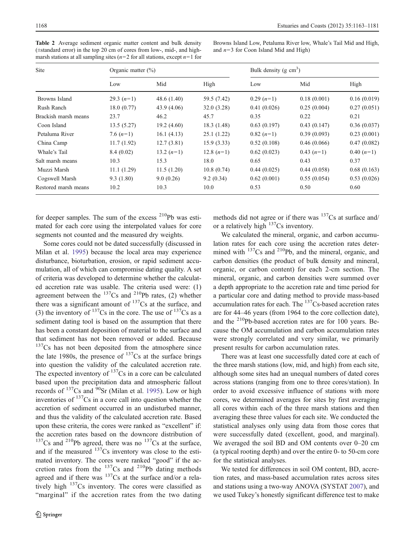| Site                 | Organic matter $(\% )$ |              |              | Bulk density $(g \text{ cm}^3)$ |             |             |
|----------------------|------------------------|--------------|--------------|---------------------------------|-------------|-------------|
|                      | Low                    | Mid          | High         | Low                             | Mid         | High        |
| Browns Island        | 29.3 $(n=1)$           | 48.6 (1.40)  | 59.5 (7.42)  | $0.29(n=1)$                     | 0.18(0.001) | 0.16(0.019) |
| Rush Ranch           | 18.0(0.77)             | 43.9(4.06)   | 32.0(3.28)   | 0.41(0.026)                     | 0.25(0.004) | 0.27(0.051) |
| Brackish marsh means | 23.7                   | 46.2         | 45.7         | 0.35                            | 0.22        | 0.21        |
| Coon Island          | 13.5(5.27)             | 19.2(4.60)   | 18.3(1.48)   | 0.63(0.197)                     | 0.43(0.147) | 0.36(0.037) |
| Petaluma River       | 7.6 $(n=1)$            | 16.1(4.13)   | 25.1(1.22)   | $0.82(n=1)$                     | 0.39(0.093) | 0.23(0.001) |
| China Camp           | 11.7(1.92)             | 12.7(3.81)   | 15.9(3.33)   | 0.52(0.108)                     | 0.46(0.066) | 0.47(0.082) |
| Whale's Tail         | 8.4(0.02)              | 13.2 $(n=1)$ | 12.8 $(n=1)$ | 0.62(0.023)                     | $0.43(n=1)$ | $0.40(n=1)$ |
| Salt marsh means     | 10.3                   | 15.3         | 18.0         | 0.65                            | 0.43        | 0.37        |
| Muzzi Marsh          | 11.1(1.29)             | 11.5(1.20)   | 10.8(0.74)   | 0.44(0.025)                     | 0.44(0.058) | 0.68(0.163) |
| Cogswell Marsh       | 9.3(1.80)              | 9.0(0.26)    | 9.2(0.34)    | 0.62(0.001)                     | 0.55(0.054) | 0.53(0.026) |
| Restored marsh means | 10.2                   | 10.3         | 10.0         | 0.53                            | 0.50        | 0.60        |

<span id="page-6-0"></span>Table 2 Average sediment organic matter content and bulk density (±standard error) in the top 20 cm of cores from low-, mid-, and highmarsh stations at all sampling sites ( $n=2$  for all stations, except  $n=1$  for

Browns Island Low, Petaluma River low, Whale's Tail Mid and High, and  $n=3$  for Coon Island Mid and High)

for deeper samples. The sum of the excess  $^{210}Pb$  was estimated for each core using the interpolated values for core segments not counted and the measured dry weights.

Some cores could not be dated successfully (discussed in Milan et al. [1995](#page-19-0)) because the local area may experience disturbance, bioturbation, erosion, or rapid sediment accumulation, all of which can compromise dating quality. A set of criteria was developed to determine whether the calculated accretion rate was usable. The criteria used were: (1) agreement between the  $^{137}Cs$  and  $^{210}Pb$  rates, (2) whether there was a significant amount of  $137Cs$  at the surface, and (3) the inventory of  $137Cs$  in the core. The use of  $137Cs$  as a sediment dating tool is based on the assumption that there has been a constant deposition of material to the surface and that sediment has not been removed or added. Because  $137Cs$  has not been deposited from the atmosphere since the late 1980s, the presence of  $137$ Cs at the surface brings into question the validity of the calculated accretion rate. The expected inventory of  $137Cs$  in a core can be calculated based upon the precipitation data and atmospheric fallout records of  $137Cs$  and  $90Sr$  (Milan et al. [1995\)](#page-19-0). Low or high inventories of  $137Cs$  in a core call into question whether the accretion of sediment occurred in an undisturbed manner, and thus the validity of the calculated accretion rate. Based upon these criteria, the cores were ranked as "excellent" if: the accretion rates based on the downcore distribution of  $137Cs$  and  $210Pb$  agreed, there was no  $137Cs$  at the surface, and if the measured  $137Cs$  inventory was close to the estimated inventory. The cores were ranked "good" if the accretion rates from the  $^{137}Cs$  and  $^{210}Pb$  dating methods agreed and if there was  $137Cs$  at the surface and/or a relatively high  $137Cs$  inventory. The cores were classified as "marginal" if the accretion rates from the two dating methods did not agree or if there was <sup>137</sup>Cs at surface and/ or a relatively high <sup>137</sup>Cs inventory.

We calculated the mineral, organic, and carbon accumulation rates for each core using the accretion rates determined with <sup>137</sup>Cs and <sup>210</sup>Pb, and the mineral, organic, and carbon densities (the product of bulk density and mineral, organic, or carbon content) for each 2-cm section. The mineral, organic, and carbon densities were summed over a depth appropriate to the accretion rate and time period for a particular core and dating method to provide mass-based accumulation rates for each. The 137Cs-based accretion rates are for 44–46 years (from 1964 to the core collection date), and the 210Pb-based accretion rates are for 100 years. Because the OM accumulation and carbon accumulation rates were strongly correlated and very similar, we primarily present results for carbon accumulation rates.

There was at least one successfully dated core at each of the three marsh stations (low, mid, and high) from each site, although some sites had an unequal numbers of dated cores across stations (ranging from one to three cores/station). In order to avoid excessive influence of stations with more cores, we determined averages for sites by first averaging all cores within each of the three marsh stations and then averaging these three values for each site. We conducted the statistical analyses only using data from those cores that were successfully dated (excellent, good, and marginal). We averaged the soil BD and OM contents over 0–20 cm (a typical rooting depth) and over the entire 0- to 50-cm core for the statistical analyses.

We tested for differences in soil OM content, BD, accretion rates, and mass-based accumulation rates across sites and stations using a two-way ANOVA (SYSTAT [2007\)](#page-19-0), and we used Tukey's honestly significant difference test to make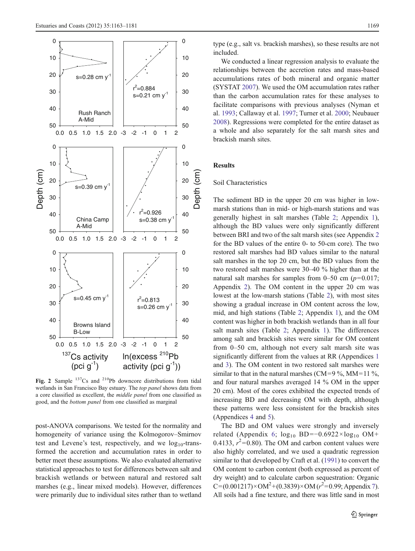<span id="page-7-0"></span>

Fig. 2 Sample <sup>137</sup>Cs and <sup>210</sup>Pb downcore distributions from tidal wetlands in San Francisco Bay estuary. The top panel shows data from a core classified as excellent, the middle panel from one classified as good, and the bottom panel from one classified as marginal

post-ANOVA comparisons. We tested for the normality and homogeneity of variance using the Kolmogorov–Smirnov test and Levene's test, respectively, and we  $log_{10}$ -transformed the accretion and accumulation rates in order to better meet these assumptions. We also evaluated alternative statistical approaches to test for differences between salt and brackish wetlands or between natural and restored salt marshes (e.g., linear mixed models). However, differences were primarily due to individual sites rather than to wetland type (e.g., salt vs. brackish marshes), so these results are not included.

We conducted a linear regression analysis to evaluate the relationships between the accretion rates and mass-based accumulations rates of both mineral and organic matter (SYSTAT [2007](#page-19-0)). We used the OM accumulation rates rather than the carbon accumulation rates for these analyses to facilitate comparisons with previous analyses (Nyman et al. [1993](#page-19-0); Callaway et al. [1997;](#page-18-0) Turner et al. [2000;](#page-19-0) Neubauer [2008](#page-19-0)). Regressions were completed for the entire dataset as a whole and also separately for the salt marsh sites and brackish marsh sites.

#### **Results**

#### Soil Characteristics

The sediment BD in the upper 20 cm was higher in lowmarsh stations than in mid- or high-marsh stations and was generally highest in salt marshes (Table [2;](#page-6-0) Appendix [1\)](#page-13-0), although the BD values were only significantly different between BRI and two of the salt marsh sites (see Appendix [2](#page-14-0) for the BD values of the entire 0- to 50-cm core). The two restored salt marshes had BD values similar to the natural salt marshes in the top 20 cm, but the BD values from the two restored salt marshes were 30–40 % higher than at the natural salt marshes for samples from  $0-50$  cm  $(p=0.017;$ Appendix [2](#page-14-0)). The OM content in the upper 20 cm was lowest at the low-marsh stations (Table [2](#page-6-0)), with most sites showing a gradual increase in OM content across the low, mid, and high stations (Table [2;](#page-6-0) Appendix [1](#page-13-0)), and the OM content was higher in both brackish wetlands than in all four salt marsh sites (Table [2;](#page-6-0) Appendix [1\)](#page-13-0). The differences among salt and brackish sites were similar for OM content from 0–50 cm, although not every salt marsh site was significantly different from the values at RR (Appendices [1](#page-13-0) and 3). The OM content in two restored salt marshes were similar to that in the natural marshes (CM=9 %, MM=11 %, and four natural marshes averaged 14 % OM in the upper 20 cm). Most of the cores exhibited the expected trends of increasing BD and decreasing OM with depth, although these patterns were less consistent for the brackish sites (Appendices 4 and 5).

The BD and OM values were strongly and inversely related (Appendix 6;  $log_{10} BD=-0.6922\times log_{10} OM+$ 0.4133,  $r^2$ =0.80). The OM and carbon content values were also highly correlated, and we used a quadratic regression similar to that developed by Craft et al. ([1991\)](#page-18-0) to convert the OM content to carbon content (both expressed as percent of dry weight) and to calculate carbon sequestration: Organic C=(0.001217)×OM<sup>2</sup>+(0.3839)×OM ( $r^2$ =0.99; Appendix 7). All soils had a fine texture, and there was little sand in most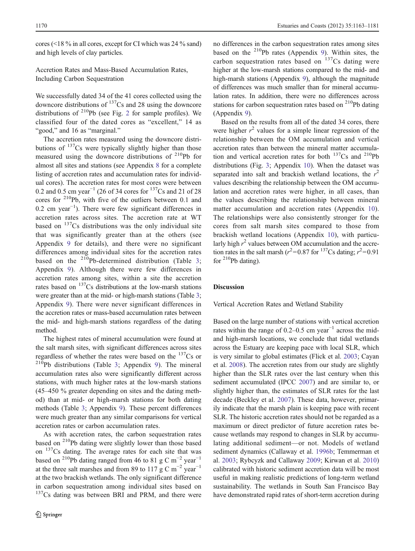cores (<18 % in all cores, except for CI which was 24 % sand) and high levels of clay particles.

Accretion Rates and Mass-Based Accumulation Rates, Including Carbon Sequestration

We successfully dated 34 of the 41 cores collected using the downcore distributions of  $137Cs$  and 28 using the downcore distributions of  $^{210}Pb$  $^{210}Pb$  $^{210}Pb$  (see Fig. 2 for sample profiles). We classified four of the dated cores as "excellent," 14 as "good," and 16 as "marginal."

The accretion rates measured using the downcore distributions of  $137Cs$  were typically slightly higher than those measured using the downcore distributions of  $^{210}Pb$  for almost all sites and stations (see Appendix 8 for a complete listing of accretion rates and accumulation rates for individual cores). The accretion rates for most cores were between 0.2 and 0.5 cm year<sup>-1</sup> (26 of 34 cores for <sup>137</sup>Cs and 21 of 28 cores for 210Pb, with five of the outliers between 0.1 and 0.2 cm year<sup>-1</sup>). There were few significant differences in accretion rates across sites. The accretion rate at WT based on  $137Cs$  distributions was the only individual site that was significantly greater than at the others (see Appendix 9 for details), and there were no significant differences among individual sites for the accretion rates based on the  $210Pb$ -determined distribution (Table [3](#page-9-0); Appendix 9). Although there were few differences in accretion rates among sites, within a site the accretion rates based on  $137Cs$  distributions at the low-marsh stations were greater than at the mid- or high-marsh stations (Table [3](#page-9-0); Appendix 9). There were never significant differences in the accretion rates or mass-based accumulation rates between the mid- and high-marsh stations regardless of the dating method.

The highest rates of mineral accumulation were found at the salt marsh sites, with significant differences across sites regardless of whether the rates were based on the  $137Cs$  or  $^{210}$ Pb distributions (Table [3;](#page-9-0) Appendix 9). The mineral accumulation rates also were significantly different across stations, with much higher rates at the low-marsh stations (45–450 % greater depending on sites and the dating method) than at mid- or high-marsh stations for both dating methods (Table [3](#page-9-0); Appendix 9). These percent differences were much greater than any similar comparisons for vertical accretion rates or carbon accumulation rates.

As with accretion rates, the carbon sequestration rates based on 210Pb dating were slightly lower than those based on 137Cs dating. The average rates for each site that was based on <sup>210</sup>Pb dating ranged from 46 to 81 g C m<sup>-2</sup> year<sup>-1</sup> at the three salt marshes and from 89 to 117 g C m<sup>-2</sup> year<sup>-1</sup> at the two brackish wetlands. The only significant difference in carbon sequestration among individual sites based on  $137Cs$  dating was between BRI and PRM, and there were no differences in the carbon sequestration rates among sites based on the  $^{210}Pb$  rates (Appendix 9). Within sites, the carbon sequestration rates based on  $137Cs$  dating were higher at the low-marsh stations compared to the mid- and high-marsh stations (Appendix 9), although the magnitude of differences was much smaller than for mineral accumulation rates. In addition, there were no differences across stations for carbon sequestration rates based on <sup>210</sup>Pb dating (Appendix 9).

Based on the results from all of the dated 34 cores, there were higher  $r^2$  values for a simple linear regression of the relationship between the OM accumulation and vertical accretion rates than between the mineral matter accumulation and vertical accretion rates for both  $137Cs$  and  $210Pb$ distributions (Fig. [3;](#page-10-0) Appendix 10). When the dataset was separated into salt and brackish wetland locations, the  $r^2$ values describing the relationship between the OM accumulation and accretion rates were higher, in all cases, than the values describing the relationship between mineral matter accumulation and accretion rates (Appendix 10). The relationships were also consistently stronger for the cores from salt marsh sites compared to those from brackish wetland locations (Appendix 10), with particularly high  $r^2$  values between OM accumulation and the accretion rates in the salt marsh ( $r^2$ =0.87 for <sup>137</sup>Cs dating;  $r^2$ =0.91 for  $^{210}$ Pb dating).

#### Discussion

Vertical Accretion Rates and Wetland Stability

Based on the large number of stations with vertical accretion rates within the range of  $0.2-0.5$  cm year<sup>-1</sup> across the midand high-marsh locations, we conclude that tidal wetlands across the Estuary are keeping pace with local SLR, which is very similar to global estimates (Flick et al. [2003](#page-18-0); Cayan et al. [2008\)](#page-18-0). The accretion rates from our study are slightly higher than the SLR rates over the last century when this sediment accumulated (IPCC [2007](#page-19-0)) and are similar to, or slightly higher than, the estimates of SLR rates for the last decade (Beckley et al. [2007](#page-18-0)). These data, however, primarily indicate that the marsh plain is keeping pace with recent SLR. The historic accretion rates should not be regarded as a maximum or direct predictor of future accretion rates because wetlands may respond to changes in SLR by accumulating additional sediment—or not. Models of wetland sediment dynamics (Callaway et al. [1996b](#page-18-0); Temmerman et al. [2003;](#page-19-0) Rybcyzk and Callaway [2009](#page-19-0); Kirwan et al. [2010](#page-19-0)) calibrated with historic sediment accretion data will be most useful in making realistic predictions of long-term wetland sustainability. The wetlands in South San Francisco Bay have demonstrated rapid rates of short-term accretion during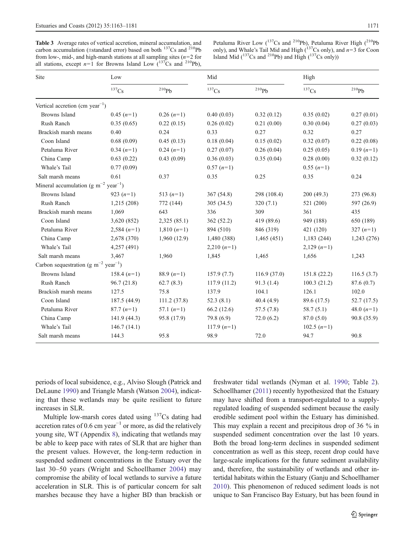<span id="page-9-0"></span>Table 3 Average rates of vertical accretion, mineral accumulation, and carbon accumulation ( $\pm$ standard error) based on both  $^{137}Cs$  and  $^{210}Pb$ from low-, mid-, and high-marsh stations at all sampling sites ( $n=2$  for all stations, except  $n=1$  for Browns Island Low  $(137\text{Cs}$  and  $210\text{Pb})$ ,

Petaluma River Low  $(^{137}Cs$  and <sup>210</sup>Pb), Petaluma River High  $(^{210}Pb)$ only), and Whale's Tail Mid and High ( $^{137}Cs$  only), and  $n=3$  for Coon Island Mid ( $^{137}Cs$  and  $^{210}Pb$ ) and High ( $^{137}Cs$  only))

| Site                                                         | Low                 |              | Mid           |             | High         |              |
|--------------------------------------------------------------|---------------------|--------------|---------------|-------------|--------------|--------------|
|                                                              | $^{137}\mathrm{Cs}$ | $^{210}Pb$   | $137$ Cs      | $^{210}Ph$  | $137$ Cs     | $^{210}Ph$   |
| Vertical accretion (cm year <sup>-1</sup> )                  |                     |              |               |             |              |              |
| Browns Island                                                | $0.45(n=1)$         | $0.26(n=1)$  | 0.40(0.03)    | 0.32(0.12)  | 0.35(0.02)   | 0.27(0.01)   |
| Rush Ranch                                                   | 0.35(0.65)          | 0.22(0.15)   | 0.26(0.02)    | 0.21(0.00)  | 0.30(0.04)   | 0.27(0.03)   |
| Brackish marsh means                                         | 0.40                | 0.24         | 0.33          | 0.27        | 0.32         | 0.27         |
| Coon Island                                                  | 0.68(0.09)          | 0.45(0.13)   | 0.18(0.04)    | 0.15(0.02)  | 0.32(0.07)   | 0.22(0.08)   |
| Petaluma River                                               | $0.34(n=1)$         | $0.24(n=1)$  | 0.27(0.07)    | 0.26(0.04)  | 0.25(0.05)   | $0.19(n=1)$  |
| China Camp                                                   | 0.63(0.22)          | 0.43(0.09)   | 0.36(0.03)    | 0.35(0.04)  | 0.28(0.00)   | 0.32(0.12)   |
| Whale's Tail                                                 | 0.77(0.09)          |              | $0.57(n=1)$   |             | $0.55(n=1)$  |              |
| Salt marsh means                                             | 0.61                | 0.37         | 0.35          | 0.25        | 0.35         | 0.24         |
| Mineral accumulation (g m <sup>-2</sup> year <sup>-1</sup> ) |                     |              |               |             |              |              |
| <b>Browns Island</b>                                         | 923 $(n=1)$         | 513 $(n=1)$  | 367 (54.8)    | 298 (108.4) | 200 (49.3)   | 273 (96.8)   |
| Rush Ranch                                                   | 1,215 (208)         | 772 (144)    | 305 (34.5)    | 320(7.1)    | 521 (200)    | 597 (26.9)   |
| Brackish marsh means                                         | 1,069               | 643          | 336           | 309         | 361          | 435          |
| Coon Island                                                  | 3,620 (852)         | 2,325(85.1)  | 362(52.2)     | 419 (89.6)  | 949 (188)    | 650 (189)    |
| Petaluma River                                               | $2,584(n=1)$        | $1,810(n=1)$ | 894 (510)     | 846 (319)   | 421 (120)    | 327 $(n=1)$  |
| China Camp                                                   | 2,678 (370)         | 1,960(12.9)  | 1,480 (388)   | 1,465(451)  | 1,183(244)   | 1,243 (276)  |
| Whale's Tail                                                 | 4,257 (491)         |              | 2,210 $(n=1)$ |             | $2,129(n=1)$ |              |
| Salt marsh means                                             | 3,467               | 1,960        | 1,845         | 1,465       | 1,656        | 1,243        |
| Carbon sequestration (g m <sup>-2</sup> year <sup>-1</sup> ) |                     |              |               |             |              |              |
| <b>Browns Island</b>                                         | 158.4 $(n=1)$       | 88.9 $(n=1)$ | 157.9(7.7)    | 116.9(37.0) | 151.8 (22.2) | 116.5(3.7)   |
| Rush Ranch                                                   | 96.7(21.8)          | 62.7(8.3)    | 117.9(11.2)   | 91.3(1.4)   | 100.3(21.2)  | 87.6(0.7)    |
| Brackish marsh means                                         | 127.5               | 75.8         | 137.9         | 104.1       | 126.1        | 102.0        |
| Coon Island                                                  | 187.5 (44.9)        | 111.2(37.8)  | 52.3(8.1)     | 40.4(4.9)   | 89.6 (17.5)  | 52.7 (17.5)  |
| Petaluma River                                               | $87.7(n=1)$         | 57.1 $(n=1)$ | 66.2(12.6)    | 57.5(7.8)   | 58.7(5.1)    | 48.0 $(n=1)$ |
| China Camp                                                   | 141.9 (44.3)        | 95.8 (17.9)  | 79.8 (6.9)    | 72.0(6.2)   | 87.0 (5.0)   | 90.8 (35.9)  |
| Whale's Tail                                                 | 146.7(14.1)         |              | 117.9 $(n=1)$ |             | $102.5(n=1)$ |              |
| Salt marsh means                                             | 144.3               | 95.8         | 98.9          | 72.0        | 94.7         | 90.8         |

periods of local subsidence, e.g., Alviso Slough (Patrick and DeLaune [1990\)](#page-19-0) and Triangle Marsh (Watson [2004\)](#page-19-0), indicating that these wetlands may be quite resilient to future increases in SLR.

Multiple low-marsh cores dated using 137Cs dating had accretion rates of 0.6 cm year<sup> $-1$ </sup> or more, as did the relatively young site, WT (Appendix 8), indicating that wetlands may be able to keep pace with rates of SLR that are higher than the present values. However, the long-term reduction in suspended sediment concentrations in the Estuary over the last 30–50 years (Wright and Schoellhamer [2004\)](#page-19-0) may compromise the ability of local wetlands to survive a future acceleration in SLR. This is of particular concern for salt marshes because they have a higher BD than brackish or

freshwater tidal wetlands (Nyman et al. [1990](#page-19-0); Table [2](#page-6-0)). Schoellhamer [\(2011](#page-19-0)) recently hypothesized that the Estuary may have shifted from a transport-regulated to a supplyregulated loading of suspended sediment because the easily erodible sediment pool within the Estuary has diminished. This may explain a recent and precipitous drop of 36 % in suspended sediment concentration over the last 10 years. Both the broad long-term declines in suspended sediment concentration as well as this steep, recent drop could have large-scale implications for the future sediment availability and, therefore, the sustainability of wetlands and other intertidal habitats within the Estuary (Ganju and Schoellhamer [2010](#page-18-0)). This phenomenon of reduced sediment loads is not unique to San Francisco Bay Estuary, but has been found in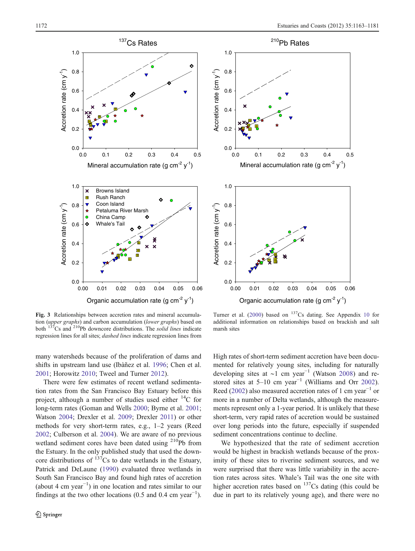<span id="page-10-0"></span>

Fig. 3 Relationships between accretion rates and mineral accumulation (upper graphs) and carbon accumulation (lower graphs) based on both  $137$ Cs and  $210$ Pb downcore distributions. The *solid lines* indicate regression lines for all sites; dashed lines indicate regression lines from

many watersheds because of the proliferation of dams and shifts in upstream land use (Ibàñez et al. [1996;](#page-19-0) Chen et al. [2001;](#page-18-0) Horowitz [2010;](#page-18-0) Tweel and Turner [2012](#page-19-0)).

There were few estimates of recent wetland sedimentation rates from the San Francisco Bay Estuary before this project, although a number of studies used either  $^{14}$ C for long-term rates (Goman and Wells [2000;](#page-18-0) Byrne et al. [2001](#page-18-0); Watson [2004](#page-19-0); Drexler et al. [2009](#page-18-0); Drexler [2011\)](#page-18-0) or other methods for very short-term rates, e.g., 1–2 years (Reed [2002;](#page-19-0) Culberson et al. [2004\)](#page-18-0). We are aware of no previous wetland sediment cores have been dated using  $2^{10}Pb$  from the Estuary. In the only published study that used the downcore distributions of  $137$ Cs to date wetlands in the Estuary, Patrick and DeLaune ([1990\)](#page-19-0) evaluated three wetlands in South San Francisco Bay and found high rates of accretion (about 4 cm year−<sup>1</sup> ) in one location and rates similar to our findings at the two other locations (0.5 and 0.4 cm year<sup>-1</sup>).



Turner et al.  $(2000)$  $(2000)$  $(2000)$  based on  $137$ Cs dating. See Appendix 10 for additional information on relationships based on brackish and salt marsh sites

High rates of short-term sediment accretion have been documented for relatively young sites, including for naturally developing sites at  $\sim$ 1 cm year<sup>-1</sup> (Watson [2008\)](#page-19-0) and re-stored sites at 5–10 cm year<sup>-1</sup> (Williams and Orr [2002\)](#page-19-0). Reed [\(2002](#page-19-0)) also measured accretion rates of 1 cm year<sup>-1</sup> or more in a number of Delta wetlands, although the measurements represent only a 1-year period. It is unlikely that these short-term, very rapid rates of accretion would be sustained over long periods into the future, especially if suspended sediment concentrations continue to decline.

We hypothesized that the rate of sediment accretion would be highest in brackish wetlands because of the proximity of these sites to riverine sediment sources, and we were surprised that there was little variability in the accretion rates across sites. Whale's Tail was the one site with higher accretion rates based on  $137Cs$  dating (this could be due in part to its relatively young age), and there were no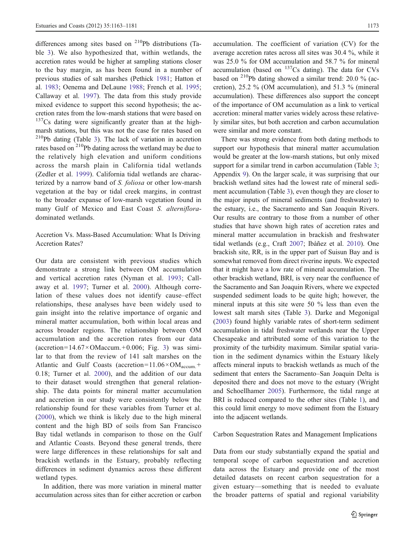differences among sites based on  $^{210}Pb$  distributions (Table [3](#page-9-0)). We also hypothesized that, within wetlands, the accretion rates would be higher at sampling stations closer to the bay margin, as has been found in a number of previous studies of salt marshes (Pethick [1981](#page-19-0); Hatton et al. [1983](#page-18-0); Oenema and DeLaune [1988](#page-19-0); French et al. [1995](#page-18-0); Callaway et al. [1997\)](#page-18-0). The data from this study provide mixed evidence to support this second hypothesis; the accretion rates from the low-marsh stations that were based on  $137Cs$  dating were significantly greater than at the highmarsh stations, but this was not the case for rates based on 210Pb dating (Table [3\)](#page-9-0). The lack of variation in accretion rates based on <sup>210</sup>Pb dating across the wetland may be due to the relatively high elevation and uniform conditions across the marsh plain in California tidal wetlands (Zedler et al. [1999\)](#page-19-0). California tidal wetlands are characterized by a narrow band of S. foliosa or other low-marsh vegetation at the bay or tidal creek margins, in contrast to the broader expanse of low-marsh vegetation found in many Gulf of Mexico and East Coast S. alternifloradominated wetlands.

### Accretion Vs. Mass-Based Accumulation: What Is Driving Accretion Rates?

Our data are consistent with previous studies which demonstrate a strong link between OM accumulation and vertical accretion rates (Nyman et al. [1993;](#page-19-0) Callaway et al. [1997](#page-18-0); Turner et al. [2000](#page-19-0)). Although correlation of these values does not identify cause–effect relationships, these analyses have been widely used to gain insight into the relative importance of organic and mineral matter accumulation, both within local areas and across broader regions. The relationship between OM accumulation and the accretion rates from our data (accretion=14.67×OMaccum.+0.006; Fig. [3\)](#page-10-0) was similar to that from the review of 141 salt marshes on the Atlantic and Gulf Coasts (accretion= $11.06\times$ OM<sub>accum.</sub>+ 0.18; Turner et al. [2000\)](#page-19-0), and the addition of our data to their dataset would strengthen that general relationship. The data points for mineral matter accumulation and accretion in our study were consistently below the relationship found for these variables from Turner et al. [\(2000\)](#page-19-0), which we think is likely due to the high mineral content and the high BD of soils from San Francisco Bay tidal wetlands in comparison to those on the Gulf and Atlantic Coasts. Beyond these general trends, there were large differences in these relationships for salt and brackish wetlands in the Estuary, probably reflecting differences in sediment dynamics across these different wetland types.

In addition, there was more variation in mineral matter accumulation across sites than for either accretion or carbon

accumulation. The coefficient of variation (CV) for the average accretion rates across all sites was 30.4 %, while it was 25.0 % for OM accumulation and 58.7 % for mineral accumulation (based on  $137Cs$  dating). The data for CVs based on  $^{210}Pb$  dating showed a similar trend: 20.0 % (accretion), 25.2 % (OM accumulation), and 51.3 % (mineral accumulation). These differences also support the concept of the importance of OM accumulation as a link to vertical accretion: mineral matter varies widely across these relatively similar sites, but both accretion and carbon accumulation were similar and more constant.

There was strong evidence from both dating methods to support our hypothesis that mineral matter accumulation would be greater at the low-marsh stations, but only mixed support for a similar trend in carbon accumulation (Table [3;](#page-9-0) Appendix 9). On the larger scale, it was surprising that our brackish wetland sites had the lowest rate of mineral sediment accumulation (Table [3\)](#page-9-0), even though they are closer to the major inputs of mineral sediments (and freshwater) to the estuary, i.e., the Sacramento and San Joaquin Rivers. Our results are contrary to those from a number of other studies that have shown high rates of accretion rates and mineral matter accumulation in brackish and freshwater tidal wetlands (e.g., Craft [2007;](#page-18-0) Ibàñez et al. [2010\)](#page-19-0). One brackish site, RR, is in the upper part of Suisun Bay and is somewhat removed from direct riverine inputs. We expected that it might have a low rate of mineral accumulation. The other brackish wetland, BRI, is very near the confluence of the Sacramento and San Joaquin Rivers, where we expected suspended sediment loads to be quite high; however, the mineral inputs at this site were 50 % less than even the lowest salt marsh sites (Table [3](#page-9-0)). Darke and Megonigal [\(2003](#page-18-0)) found highly variable rates of short-term sediment accumulation in tidal freshwater wetlands near the Upper Chesapeake and attributed some of this variation to the proximity of the turbidity maximum. Similar spatial variation in the sediment dynamics within the Estuary likely affects mineral inputs to brackish wetlands as much of the sediment that enters the Sacramento–San Joaquin Delta is deposited there and does not move to the estuary (Wright and Schoellhamer [2005\)](#page-19-0). Furthermore, the tidal range at BRI is reduced compared to the other sites (Table [1](#page-5-0)), and this could limit energy to move sediment from the Estuary into the adjacent wetlands.

#### Carbon Sequestration Rates and Management Implications

Data from our study substantially expand the spatial and temporal scope of carbon sequestration and accretion data across the Estuary and provide one of the most detailed datasets on recent carbon sequestration for a given estuary—something that is needed to evaluate the broader patterns of spatial and regional variability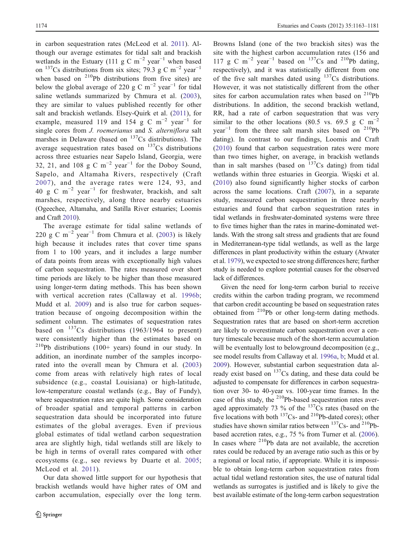in carbon sequestration rates (McLeod et al. [2011\)](#page-19-0). Although our average estimates for tidal salt and brackish wetlands in the Estuary (111 g C m<sup>-2</sup> year<sup>-1</sup> when based on <sup>137</sup>Cs distributions from six sites; 79.3 g C m<sup>-2</sup> year<sup>-1</sup> when based on  $^{210}Pb$  distributions from five sites) are below the global average of 220 g C m<sup>-2</sup> year<sup>-1</sup> for tidal saline wetlands summarized by Chmura et al. ([2003](#page-18-0)), they are similar to values published recently for other salt and brackish wetlands. Elsey-Quirk et al. ([2011\)](#page-18-0), for example, measured 119 and 154 g C m<sup>-2</sup> year<sup>-1</sup> for single cores from *J. roemerianus* and *S. alterniflora* salt marshes in Delaware (based on  $137Cs$  distributions). The average sequestration rates based on  $137Cs$  distributions across three estuaries near Sapelo Island, Georgia, were 32, 21, and 108 g C m<sup>-2</sup> year<sup>-1</sup> for the Doboy Sound, Sapelo, and Altamaha Rivers, respectively (Craft [2007](#page-18-0)), and the average rates were 124, 93, and 40 g C m<sup> $-2$ </sup> year<sup> $-1$ </sup> for freshwater, brackish, and salt marshes, respectively, along three nearby estuaries (Ogeechee, Altamaha, and Satilla River estuaries; Loomis and Craft [2010\)](#page-19-0).

The average estimate for tidal saline wetlands of 220 g C m<sup>-2</sup> year<sup>-1</sup> from Chmura et al. ([2003](#page-18-0)) is likely high because it includes rates that cover time spans from 1 to 100 years, and it includes a large number of data points from areas with exceptionally high values of carbon sequestration. The rates measured over short time periods are likely to be higher than those measured using longer-term dating methods. This has been shown with vertical accretion rates (Callaway et al. [1996b](#page-18-0); Mudd et al. [2009\)](#page-19-0) and is also true for carbon sequestration because of ongoing decomposition within the sediment column. The estimates of sequestration rates based on  $^{137}Cs$  distributions (1963/1964 to present) were consistently higher than the estimates based on  $210$ Pb distributions (100+ years) found in our study. In addition, an inordinate number of the samples incorporated into the overall mean by Chmura et al. ([2003\)](#page-18-0) come from areas with relatively high rates of local subsidence (e.g., coastal Louisiana) or high-latitude, low-temperature coastal wetlands (e.g., Bay of Fundy), where sequestration rates are quite high. Some consideration of broader spatial and temporal patterns in carbon sequestration data should be incorporated into future estimates of the global averages. Even if previous global estimates of tidal wetland carbon sequestration area are slightly high, tidal wetlands still are likely to be high in terms of overall rates compared with other ecosystems (e.g., see reviews by Duarte et al. [2005](#page-18-0); McLeod et al. [2011](#page-19-0)).

Our data showed little support for our hypothesis that brackish wetlands would have higher rates of OM and carbon accumulation, especially over the long term.

Browns Island (one of the two brackish sites) was the site with the highest carbon accumulation rates (156 and 117 g C m<sup>-2</sup> year<sup>-1</sup> based on <sup>137</sup>Cs and <sup>210</sup>Pb dating, respectively), and it was statistically different from one of the five salt marshes dated using  $137Cs$  distributions. However, it was not statistically different from the other sites for carbon accumulation rates when based on  $^{210}Pb$ distributions. In addition, the second brackish wetland, RR, had a rate of carbon sequestration that was very similar to the other locations (80.5 vs. 69.5 g C m<sup>-2</sup> year<sup>-1</sup> from the three salt marsh sites based on <sup>210</sup>Pb dating). In contrast to our findings, Loomis and Craft [\(2010\)](#page-19-0) found that carbon sequestration rates were more than two times higher, on average, in brackish wetlands than in salt marshes (based on  $137$ Cs dating) from tidal wetlands within three estuaries in Georgia. Więski et al. [\(2010\)](#page-19-0) also found significantly higher stocks of carbon across the same locations. Craft ([2007](#page-18-0)), in a separate study, measured carbon sequestration in three nearby estuaries and found that carbon sequestration rates in tidal wetlands in freshwater-dominated systems were three to five times higher than the rates in marine-dominated wetlands. With the strong salt stress and gradients that are found in Mediterranean-type tidal wetlands, as well as the large differences in plant productivity within the estuary (Atwater et al. [1979\)](#page-18-0), we expected to see strong differences here; further study is needed to explore potential causes for the observed lack of differences.

Given the need for long-term carbon burial to receive credits within the carbon trading program, we recommend that carbon credit accounting be based on sequestration rates obtained from 210Pb or other long-term dating methods. Sequestration rates that are based on short-term accretion are likely to overestimate carbon sequestration over a century timescale because much of the short-term accumulation will be eventually lost to belowground decomposition (e.g., see model results from Callaway et al. [1996a,](#page-18-0) [b;](#page-18-0) Mudd et al. [2009](#page-19-0)). However, substantial carbon sequestration data already exist based on  $137Cs$  dating, and these data could be adjusted to compensate for differences in carbon sequestration over 30- to 40-year vs. 100-year time frames. In the case of this study, the  $210Pb$ -based sequestration rates averaged approximately 73 % of the  $137Cs$  rates (based on the five locations with both  $^{137}$ Cs- and  $^{210}$ Pb-dated cores); other studies have shown similar ratios between  $^{137}Cs$ - and  $^{210}Pb$ based accretion rates, e.g., 75 % from Turner et al. ([2006\)](#page-19-0). In cases where  $210Pb$  data are not available, the accretion rates could be reduced by an average ratio such as this or by a regional or local ratio, if appropriate. While it is impossible to obtain long-term carbon sequestration rates from actual tidal wetland restoration sites, the use of natural tidal wetlands as surrogates is justified and is likely to give the best available estimate of the long-term carbon sequestration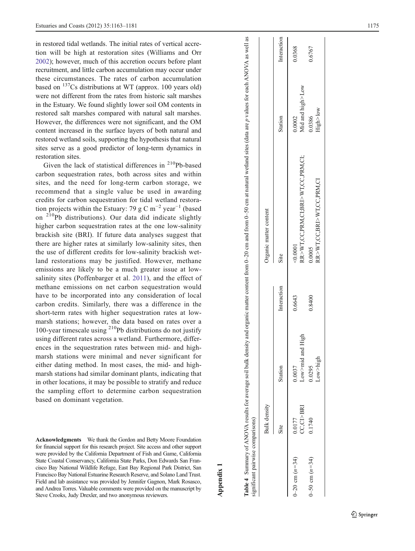<span id="page-13-0"></span>in restored tidal wetlands. The initial rates of vertical accretion will be high at restoration sites (Williams and Orr [2002\)](#page-19-0); however, much of this accretion occurs before plant recruitment, and little carbon accumulation may occur under these circumstances. The rates of carbon accumulation based on  $137Cs$  distributions at WT (approx. 100 years old) were not different from the rates from historic salt marshes in the Estuary. We found slightly lower soil OM contents in restored salt marshes compared with natural salt marshes. However, the differences were not significant, and the OM content increased in the surface layers of both natural and restored wetland soils, supporting the hypothesis that natural sites serve as a good predictor of long-term dynamics in restoration sites.

Given the lack of statistical differences in <sup>210</sup>Pb-based carbon sequestration rates, both across sites and within sites, and the need for long-term carbon storage, we recommend that a single value be used in awarding credits for carbon sequestration for tidal wetland restoration projects within the Estuary: 79 g C m<sup>-2</sup> year<sup>-1</sup> (based on 210Pb distributions). Our data did indicate slightly higher carbon sequestration rates at the one low-salinity brackish site (BRI). If future data analyses suggest that there are higher rates at similarly low-salinity sites, then the use of different credits for low-salinity brackish wetland restorations may be justified. However, methane emissions are likely to be a much greater issue at lowsalinity sites (Poffenbarger et al. [2011\)](#page-19-0), and the effect of methane emissions on net carbon sequestration would have to be incorporated into any consideration of local carbon credits. Similarly, there was a difference in the short-term rates with higher sequestration rates at lowmarsh stations; however, the data based on rates over a 100-year timescale using 210Pb distributions do not justify using different rates across a wetland. Furthermore, differences in the sequestration rates between mid- and highmarsh stations were minimal and never significant for either dating method. In most cases, the mid- and highmarsh stations had similar dominant plants, indicating that in other locations, it may be possible to stratify and reduce the sampling effort to determine carbon sequestration based on dominant vegetation.

Acknowledgments We thank the Gordon and Betty Moore Foundation for financial support for this research project. Site access and other support were provided by the California Department of Fish and Game, California State Coastal Conservancy, California State Parks, Don Edwards San Francisco Bay National Wildlife Refuge, East Bay Regional Park District, San Francisco Bay National Estuarine Research Reserve, and Solano Land Trust. Field and lab assistance was provided by Jennifer Gagnon, Mark Rosasco, and Andrea Torres. Valuable comments were provided on the manuscript by Steve Crooks, Judy Drexler, and two anonymous reviewers.

Appendix 1

Appendix

| significant pairwise comparisons) |                     |                                       |             | Table 4 Summary of ANOVA results for average soil bulk density and organic matter content from 0-20 cm and from 0-50 cm at natural wetland sites (data are p values for each ANOVA as well as |                            |             |
|-----------------------------------|---------------------|---------------------------------------|-------------|-----------------------------------------------------------------------------------------------------------------------------------------------------------------------------------------------|----------------------------|-------------|
|                                   | Bulk density        |                                       |             | Organic matter content                                                                                                                                                                        |                            |             |
|                                   | Site                | Station                               | Interaction | Site                                                                                                                                                                                          | Station                    | Interaction |
| $-20$ cm $(n=34)$                 | CC.CI>BRI<br>0.0177 | High<br>I but bint <w><br/>0.0037</w> | 0.6643      | RR>WT,CC,PRM,CI;BRI>WT,CC,PRM,CI;<br>0.0001                                                                                                                                                   | Mid and high>Low<br>0.0002 | 0.0368      |
| $0-50$ cm $(n=34)$                | 0.1740              | Low>high<br>0.0295                    | 0.8400      | RR>WT,CC,BRI>WT,CC,PRM,CI<br>0.0005                                                                                                                                                           | High>low<br>0.0386         | 0.6767      |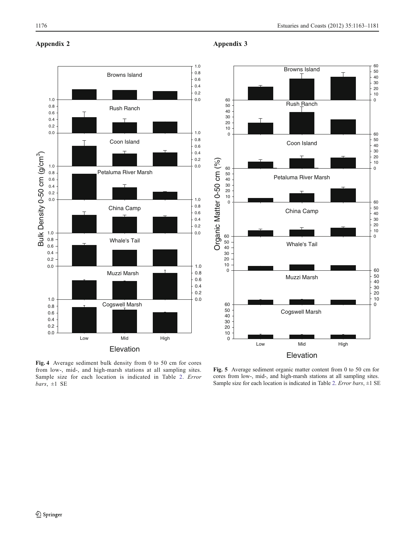#### <span id="page-14-0"></span>Appendix 2 Appendix 3



Fig. 4 Average sediment bulk density from 0 to 50 cm for cores from low-, mid-, and high-marsh stations at all sampling sites. Sample size for each location is indicated in Table [2.](#page-6-0) Error  $bars, \pm 1$  SE



Fig. 5 Average sediment organic matter content from 0 to 50 cm for cores from low-, mid-, and high-marsh stations at all sampling sites. Sample size for each location is indicated in Table [2](#page-6-0). Error bars, ±1 SE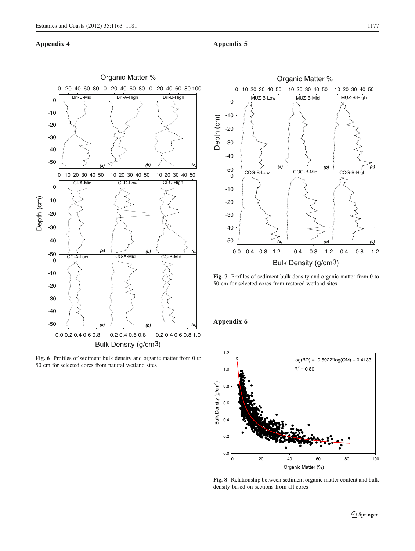#### Appendix 4 **Appendix 5**



Fig. 6 Profiles of sediment bulk density and organic matter from 0 to 50 cm for selected cores from natural wetland sites



Fig. 7 Profiles of sediment bulk density and organic matter from 0 to 50 cm for selected cores from restored wetland sites

#### Appendix 6



Fig. 8 Relationship between sediment organic matter content and bulk density based on sections from all cores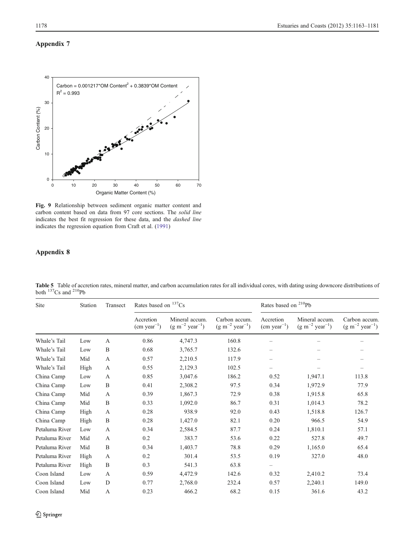#### Appendix 7



Fig. 9 Relationship between sediment organic matter content and carbon content based on data from 97 core sections. The solid line indicates the best fit regression for these data, and the dashed line indicates the regression equation from Craft et al. ([1991\)](#page-18-0)

#### Appendix 8

| Site           | Station | Transect | Rates based on <sup>137</sup> Cs     |                                                          |                                                         | Rates based on <sup>210</sup> Pb     |                                          |                                                         |
|----------------|---------|----------|--------------------------------------|----------------------------------------------------------|---------------------------------------------------------|--------------------------------------|------------------------------------------|---------------------------------------------------------|
|                |         |          | Accretion<br>$\text{(cm year}^{-1})$ | Mineral accum.<br>$(g \text{ m}^{-2} \text{ year}^{-1})$ | Carbon accum.<br>$(g \text{ m}^{-2} \text{ year}^{-1})$ | Accretion<br>$\text{(cm year}^{-1})$ | Mineral accum.<br>$(g m^{-2} year^{-1})$ | Carbon accum.<br>$(g \text{ m}^{-2} \text{ year}^{-1})$ |
| Whale's Tail   | Low     | A        | 0.86                                 | 4,747.3                                                  | 160.8                                                   |                                      |                                          |                                                         |
| Whale's Tail   | Low     | B        | 0.68                                 | 3,765.7                                                  | 132.6                                                   |                                      |                                          |                                                         |
| Whale's Tail   | Mid     | A        | 0.57                                 | 2,210.5                                                  | 117.9                                                   |                                      |                                          |                                                         |
| Whale's Tail   | High    | A        | 0.55                                 | 2,129.3                                                  | 102.5                                                   |                                      |                                          |                                                         |
| China Camp     | Low     | A        | 0.85                                 | 3,047.6                                                  | 186.2                                                   | 0.52                                 | 1,947.1                                  | 113.8                                                   |
| China Camp     | Low     | B        | 0.41                                 | 2,308.2                                                  | 97.5                                                    | 0.34                                 | 1,972.9                                  | 77.9                                                    |
| China Camp     | Mid     | A        | 0.39                                 | 1,867.3                                                  | 72.9                                                    | 0.38                                 | 1,915.8                                  | 65.8                                                    |
| China Camp     | Mid     | B        | 0.33                                 | 1,092.0                                                  | 86.7                                                    | 0.31                                 | 1,014.3                                  | 78.2                                                    |
| China Camp     | High    | A        | 0.28                                 | 938.9                                                    | 92.0                                                    | 0.43                                 | 1,518.8                                  | 126.7                                                   |
| China Camp     | High    | B        | 0.28                                 | 1,427.0                                                  | 82.1                                                    | 0.20                                 | 966.5                                    | 54.9                                                    |
| Petaluma River | Low     | A        | 0.34                                 | 2,584.5                                                  | 87.7                                                    | 0.24                                 | 1,810.1                                  | 57.1                                                    |
| Petaluma River | Mid     | А        | 0.2                                  | 383.7                                                    | 53.6                                                    | 0.22                                 | 527.8                                    | 49.7                                                    |
| Petaluma River | Mid     | B        | 0.34                                 | 1,403.7                                                  | 78.8                                                    | 0.29                                 | 1,165.0                                  | 65.4                                                    |
| Petaluma River | High    | А        | 0.2                                  | 301.4                                                    | 53.5                                                    | 0.19                                 | 327.0                                    | 48.0                                                    |
| Petaluma River | High    | B        | 0.3                                  | 541.3                                                    | 63.8                                                    |                                      |                                          |                                                         |
| Coon Island    | Low     | A        | 0.59                                 | 4,472.9                                                  | 142.6                                                   | 0.32                                 | 2,410.2                                  | 73.4                                                    |
| Coon Island    | Low     | D        | 0.77                                 | 2,768.0                                                  | 232.4                                                   | 0.57                                 | 2,240.1                                  | 149.0                                                   |
| Coon Island    | Mid     | A        | 0.23                                 | 466.2                                                    | 68.2                                                    | 0.15                                 | 361.6                                    | 43.2                                                    |

Table 5 Table of accretion rates, mineral matter, and carbon accumulation rates for all individual cores, with dating using downcore distributions of both  $137$ Cs and  $210$ Pb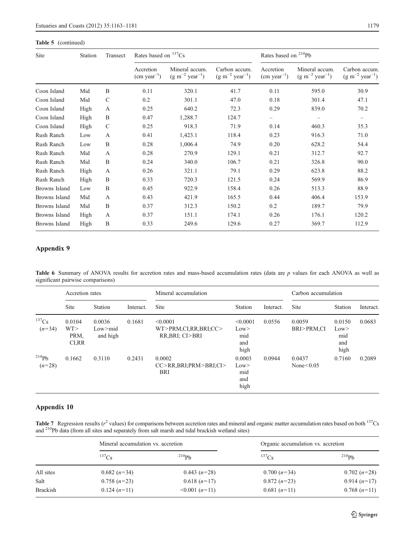#### Table 5 (continued)

| Site          | Station | Transect      | Rates based on <sup>137</sup> Cs     |                                                          |                                         | Rates based on <sup>210</sup> Pb |                                                          |                                                         |  |
|---------------|---------|---------------|--------------------------------------|----------------------------------------------------------|-----------------------------------------|----------------------------------|----------------------------------------------------------|---------------------------------------------------------|--|
|               |         |               | Accretion<br>$\text{(cm year}^{-1})$ | Mineral accum.<br>$(g \text{ m}^{-2} \text{ year}^{-1})$ | Carbon accum.<br>$(g m^{-2} year^{-1})$ | Accretion<br>$(cm year^{-1})$    | Mineral accum.<br>$(g \text{ m}^{-2} \text{ year}^{-1})$ | Carbon accum.<br>$(g \text{ m}^{-2} \text{ year}^{-1})$ |  |
| Coon Island   | Mid     | B             | 0.11                                 | 320.1                                                    | 41.7                                    | 0.11                             | 595.0                                                    | 30.9                                                    |  |
| Coon Island   | Mid     | $\mathcal{C}$ | 0.2                                  | 301.1                                                    | 47.0                                    | 0.18                             | 301.4                                                    | 47.1                                                    |  |
| Coon Island   | High    | A             | 0.25                                 | 640.2                                                    | 72.3                                    | 0.29                             | 839.0                                                    | 70.2                                                    |  |
| Coon Island   | High    | B             | 0.47                                 | 1,288.7                                                  | 124.7                                   | —                                | $\overline{\phantom{m}}$                                 | $\overline{\phantom{0}}$                                |  |
| Coon Island   | High    | $\mathcal{C}$ | 0.25                                 | 918.3                                                    | 71.9                                    | 0.14                             | 460.3                                                    | 35.3                                                    |  |
| Rush Ranch    | Low     | A             | 0.41                                 | 1,423.1                                                  | 118.4                                   | 0.23                             | 916.3                                                    | 71.0                                                    |  |
| Rush Ranch    | Low     | B             | 0.28                                 | 1,006.4                                                  | 74.9                                    | 0.20                             | 628.2                                                    | 54.4                                                    |  |
| Rush Ranch    | Mid     | A             | 0.28                                 | 270.9                                                    | 129.1                                   | 0.21                             | 312.7                                                    | 92.7                                                    |  |
| Rush Ranch    | Mid     | B             | 0.24                                 | 340.0                                                    | 106.7                                   | 0.21                             | 326.8                                                    | 90.0                                                    |  |
| Rush Ranch    | High    | A             | 0.26                                 | 321.1                                                    | 79.1                                    | 0.29                             | 623.8                                                    | 88.2                                                    |  |
| Rush Ranch    | High    | B             | 0.33                                 | 720.3                                                    | 121.5                                   | 0.24                             | 569.9                                                    | 86.9                                                    |  |
| Browns Island | Low     | B             | 0.45                                 | 922.9                                                    | 158.4                                   | 0.26                             | 513.3                                                    | 88.9                                                    |  |
| Browns Island | Mid     | A             | 0.43                                 | 421.9                                                    | 165.5                                   | 0.44                             | 406.4                                                    | 153.9                                                   |  |
| Browns Island | Mid     | B             | 0.37                                 | 312.3                                                    | 150.2                                   | 0.2                              | 189.7                                                    | 79.9                                                    |  |
| Browns Island | High    | A             | 0.37                                 | 151.1                                                    | 174.1                                   | 0.26                             | 176.1                                                    | 120.2                                                   |  |
| Browns Island | High    | B             | 0.33                                 | 249.6                                                    | 129.6                                   | 0.27                             | 369.7                                                    | 112.9                                                   |  |

#### Appendix 9

Table 6 Summary of ANOVA results for accretion rates and mass-based accumulation rates (data are  $p$  values for each ANOVA as well as significant pairwise comparisons)

|                        | Accretion rates                 |                                 |           | Mineral accumulation                                  |                                       |           | Carbon accumulation     |                                     |           |
|------------------------|---------------------------------|---------------------------------|-----------|-------------------------------------------------------|---------------------------------------|-----------|-------------------------|-------------------------------------|-----------|
|                        | Site                            | Station                         | Interact. | <b>Site</b>                                           | Station                               | Interact. | Site                    | Station                             | Interact. |
| $137$ Cs<br>$(n=34)$   | 0.0104<br>WT><br>PRM,<br>CI, RR | 0.0036<br>Low > mid<br>and high | 0.1681    | < 0.0001<br>WT>PRM,CI,RR,BRI;CC><br>RR, BRI; CI > BRI | < 0.0001<br>Low<br>mid<br>and<br>high | 0.0556    | 0.0059<br>BRI>PRM,CI    | 0.0150<br>Low<br>mid<br>and<br>high | 0.0683    |
| $^{210}Pb$<br>$(n=28)$ | 0.1662                          | 0.3110                          | 0.2431    | 0.0002<br>CC>RR,BRI;PRM>BRI;CI><br>BRI                | 0.0003<br>Low<br>mid<br>and<br>high   | 0.0944    | 0.0437<br>None $< 0.05$ | 0.7160                              | 0.2089    |

#### Appendix 10

Table 7 Regression results ( $r^2$  values) for comparisons between accretion rates and mineral and organic matter accumulation rates based on both  $137$ Cs and 210Pb data (from all sites and separately from salt marsh and tidal brackish wetland sites)

|                 | Mineral accumulation vs. accretion |                     | Organic accumulation vs. accretion |               |
|-----------------|------------------------------------|---------------------|------------------------------------|---------------|
|                 | $^{137}Cs$                         | $^{210}Pb$          | $^{137}Cs$                         | $^{210}Pb$    |
| All sites       | $0.682(n=34)$                      | $0.443(n=28)$       | $0.700(n=34)$                      | $0.702(n=28)$ |
| Salt            | $0.758(n=23)$                      | $0.618(n=17)$       | $0.872(n=23)$                      | $0.914(n=17)$ |
| <b>Brackish</b> | $0.124(n=11)$                      | $\leq 0.001$ (n=11) | $0.681(n=11)$                      | $0.768(n=11)$ |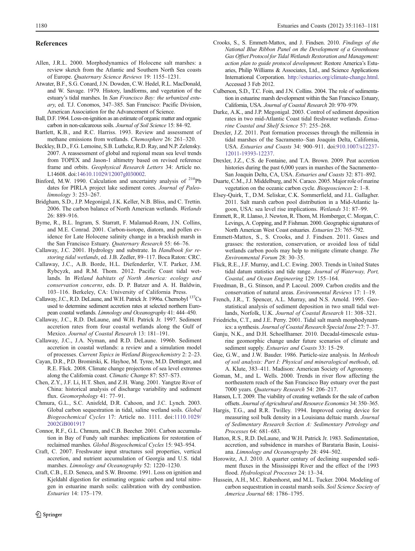#### <span id="page-18-0"></span>References

- Allen, J.R.L. 2000. Morphodynamics of Holocene salt marshes: a review sketch from the Atlantic and Southern North Sea coasts of Europe. Quaternary Science Reviews 19: 1155–1231.
- Atwater, B.F., S.G. Conard, J.N. Dowden, C.W. Hedel, R.L. MacDonald, and W. Savage. 1979. History, landforms, and vegetation of the estuary's tidal marshes. In San Francisco Bay: the urbanized estuary, ed. T.J. Conomos, 347–385. San Francisco: Pacific Division, American Association for the Advancement of Science.
- Ball, D.F. 1964. Loss-on-ignition as an estimate of organic matter and organic carbon in non-calcareous soils. Journal of Soil Science 15: 84–92.
- Bartlett, K.B., and R.C. Harriss. 1993. Review and assessment of methane emissions from wetlands. Chemosphere 26: 261–320.
- Beckley, B.D., F.G. Lemoine, S.B. Luthcke, R.D. Ray, and N.P. Zelensky. 2007. A reassessment of global and regional mean sea level trends from TOPEX and Jason-1 altimetry based on revised reference frame and orbits. Geophysical Research Letters 34: Article no. L14608. doi:[14610.11029/12007gl030002.](http://14610.11029/12007gl030002)
- Binford, M.W. 1990. Calculation and uncertainty analysis of <sup>210</sup>Pb dates for PIRLA project lake sediment cores. Journal of Paleolimnology 3: 253–267.
- Bridgham, S.D., J.P. Megonigal, J.K. Keller, N.B. Bliss, and C. Trettin. 2006. The carbon balance of North American wetlands. Wetlands 26: 889–916.
- Byrne, R., B.L. Ingram, S. Starratt, F. Malamud-Roam, J.N. Collins, and M.E. Conrad. 2001. Carbon-isotope, diatom, and pollen evidence for Late Holocene salinity change in a brackish marsh in the San Francisco Estuary. Quaternary Research 55: 66–76.
- Callaway, J.C. 2001. Hydrology and substrate. In Handbook for restoring tidal wetlands, ed. J.B. Zedler, 89–117. Boca Raton: CRC.
- Callaway, J.C., A.B. Borde, H.L. Diefenderfer, V.T. Parker, J.M. Rybcyzk, and R.M. Thom. 2012. Pacific Coast tidal wetlands. In Wetland habitats of North America: ecology and conservation concerns, eds. D. P. Batzer and A. H. Baldwin, 103–116. Berkeley, CA: University of California Press.
- Callaway, J.C., R.D. DeLaune, and W.H. Patrick Jr. 1996a. Chernobyl 137Cs used to determine sediment accretion rates at selected northern European coastal wetlands. Limnology and Oceanography 41: 444–450.
- Callaway, J.C., R.D. DeLaune, and W.H. Patrick Jr. 1997. Sediment accretion rates from four coastal wetlands along the Gulf of Mexico. Journal of Coastal Research 13: 181–191.
- Callaway, J.C., J.A. Nyman, and R.D. DeLaune. 1996b. Sediment accretion in coastal wetlands: a review and a simulation model of processes. Current Topics in Wetland Biogeochemistry 2: 2–23.
- Cayan, D.R., P.D. Bromirski, K. Hayhoe, M. Tyree, M.D. Dettinger, and R.E. Flick. 2008. Climate change projections of sea level extremes along the California coast. Climatic Change 87: S57–S73.
- Chen, Z.Y., J.F. Li, H.T. Shen, and Z.H. Wang. 2001. Yangtze River of China: historical analysis of discharge variability and sediment flux. Geomorphology 41: 77–91.
- Chmura, G.L., S.C. Anisfeld, D.R. Cahoon, and J.C. Lynch. 2003. Global carbon sequestration in tidal, saline wetland soils. Global Biogeochemical Cycles 17: Article no. 1111. doi:[1110.1029/](http://1110.1029/2002GB001917) [2002GB001917](http://1110.1029/2002GB001917)
- Connor, R.F., G.L. Chmura, and C.B. Beecher. 2001. Carbon accumulation in Bay of Fundy salt marshes: implications for restoration of reclaimed marshes. Global Biogeochemical Cycles 15: 943–954.
- Craft, C. 2007. Freshwater input structures soil properties, vertical accretion, and nutrient accumulation of Georgia and U.S. tidal marshes. Limnology and Oceanography 52: 1220–1230.
- Craft, C.B., E.D. Seneca, and S.W. Broome. 1991. Loss on ignition and Kjeldahl digestion for estimating organic carbon and total nitrogen in estuarine marsh soils: calibration with dry combustion. Estuaries 14: 175–179.
- Crooks, S., S. Emmett-Mattox, and J. Findsen. 2010. Findings of the National Blue Ribbon Panel on the Development of a Greenhouse Gas Offset Protocol for Tidal Wetlands Restoration and Management: action plan to guide protocol development: Restore America's Estuaries, Philip Williams & Associates, Ltd., and Science Applications International Corporation. <http://estuaries.org/climate-change.html>. Accessed 3 Feb 2012.
- Culberson, S.D., T.C. Foin, and J.N. Collins. 2004. The role of sedimentation in estuarine marsh development within the San Francisco Estuary, California, USA. Journal of Coastal Research 20: 970–979.
- Darke, A.K., and J.P. Megonigal. 2003. Control of sediment deposition rates in two mid-Atlantic Coast tidal freshwater wetlands. Estuarine Coastal and Shelf Science 57: 255–268.
- Drexler, J.Z. 2011. Peat formation processes through the millennia in tidal marshes of the Sacramento–San Joaquin Delta, California, USA. Estuaries and Coasts 34: 900–911. doi[:910.1007/s12237-](http://dx.doi.org/910.1007/s12237-12011-19393-12237) [12011-19393-12237.](http://dx.doi.org/910.1007/s12237-12011-19393-12237)
- Drexler, J.Z., C.S. de Fontaine, and T.A. Brown. 2009. Peat accretion histories during the past 6,000 years in marshes of the Sacramento– San Joaquin Delta, CA, USA. Estuaries and Coasts 32: 871–892.
- Duarte, C.M., J.J. Middelburg, and N. Caraco. 2005. Major role of marine vegetation on the oceanic carbon cycle. Biogeosciences 2: 1–8.
- Elsey-Quirk, T., D.M. Seliskar, C.K. Sommerfield, and J.L. Gallagher. 2011. Salt marsh carbon pool distribution in a Mid-Atlantic lagoon, USA: sea level rise implications. Wetlands 31: 87–99.
- Emmett, R., R. Llanso, J. Newton, R. Thom, M. Hornberger, C. Morgan, C. Levings, A. Copping, and P. Fishman. 2000. Geographic signatures of North American West Coast estuaries. Estuaries 23: 765–792.
- Emmett-Mattox, S., S. Crooks, and J. Findsen. 2011. Gases and grasses: the restoration, conservation, or avoided loss of tidal wetlands carbon pools may help to mitigate climate change. The Environmental Forum 28: 30–35.
- Flick, R.E., J.F. Murray, and L.C. Ewing. 2003. Trends in United States tidal datum statistics and tide range. Journal of Waterway, Port, Coastal, and Ocean Engineering 129: 155–164.
- Freedman, B., G. Stinson, and P. Lacoul. 2009. Carbon credits and the conservation of natural areas. Environmental Reviews 17: 1–19.
- French, J.R., T. Spencer, A.L. Murray, and N.S. Arnold. 1995. Geostatistical analysis of sediment deposition in two small tidal wetlands, Norfolk, U.K. Journal of Coastal Research 11: 308–321.
- Friedrichs, C.T., and J.E. Perry. 2001. Tidal salt marsh morphodynamics: a synthesis. Journal of Coastal Research Special Issue 27: 7–37.
- Ganju, N.K., and D.H. Schoellhamer. 2010. Decadal-timescale estuarine geomorphic change under future scenarios of climate and sediment supply. Estuaries and Coasts 33: 15-29.
- Gee, G.W., and J.W. Bauder. 1986. Particle-size analysis. In Methods of soil analysis: Part I: Physical and mineralogical methods, ed. A. Klute, 383–411. Madison: American Society of Agronomy.
- Goman, M., and L. Wells. 2000. Trends in river flow affecting the northeastern reach of the San Francisco Bay estuary over the past 7000 years. Quaternary Research 54: 206–217.
- Hansen, L.T. 2009. The viability of creating wetlands for the sale of carbon offsets. Journal of Agricultural and Resource Economics 34: 350–365.
- Hargis, T.G., and R.R. Twilley. 1994. Improved coring device for measuring soil bulk density in a Louisiana deltaic marsh. Journal of Sedimentary Research Section A: Sedimentary Petrology and Processes 64: 681–683.
- Hatton, R.S., R.D. DeLaune, and W.H. Patrick Jr. 1983. Sedimentation, accretion, and subsidence in marshes of Barataria Basin, Louisiana. Limnology and Oceanography 28: 494–502.
- Horowitz, A.J. 2010. A quarter century of declining suspended sediment fluxes in the Mississippi River and the effect of the 1993 flood. Hydrological Processes 24: 13–34.
- Hussein, A.H., M.C. Rabenhorst, and M.L. Tucker. 2004. Modeling of carbon sequestration in coastal marsh soils. Soil Science Society of America Journal 68: 1786–1795.